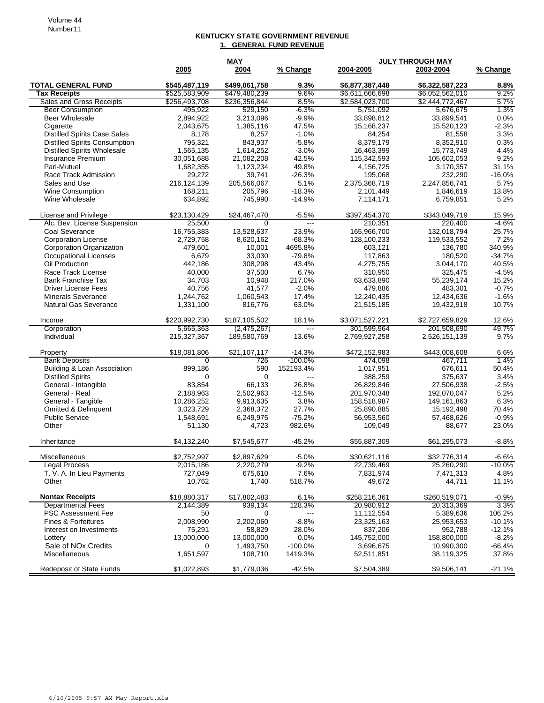## **KENTUCKY STATE GOVERNMENT REVENUE 1. GENERAL FUND REVENUE**

|                                      | <b>MAY</b>    |               |                | <b>JULY THROUGH MAY</b> |                 |           |
|--------------------------------------|---------------|---------------|----------------|-------------------------|-----------------|-----------|
|                                      | 2005          | 2004          | % Change       | 2004-2005               | 2003-2004       | % Change  |
| <b>TOTAL GENERAL FUND</b>            | \$545,487,119 | \$499.061.758 | 9.3%           | \$6,877,387,448         | \$6,322,587,223 | 8.8%      |
| <b>Tax Receipts</b>                  | \$525,583,909 | \$479,480,239 | 9.6%           | \$6,611,666,698         | \$6,052,562,010 | 9.2%      |
| Sales and Gross Receipts             | \$256,493,708 | \$236,356,844 | 8.5%           | \$2,584,023,700         | \$2,444,772,467 | 5.7%      |
| <b>Beer Consumption</b>              | 495,922       | 529,150       | $-6.3%$        | 5,751,092               | 5,676,675       | 1.3%      |
| <b>Beer Wholesale</b>                | 2,894,922     | 3,213,096     | $-9.9%$        | 33,898,812              | 33,899,541      | 0.0%      |
| Cigarette                            | 2,043,675     | 1,385,116     | 47.5%          | 15,168,237              | 15,520,123      | $-2.3%$   |
| <b>Distilled Spirits Case Sales</b>  | 8,178         | 8,257         | $-1.0%$        | 84,254                  | 81,558          | 3.3%      |
| <b>Distilled Spirits Consumption</b> | 795,321       | 843,937       | $-5.8%$        | 8,379,179               | 8,352,910       | 0.3%      |
| <b>Distilled Spirits Wholesale</b>   | 1,565,135     | 1,614,252     | $-3.0%$        | 16,463,399              | 15,773,749      | 4.4%      |
| Insurance Premium                    | 30,051,688    | 21,082,208    | 42.5%          | 115,342,593             | 105,602,053     | 9.2%      |
| Pari-Mutuel                          | 1,682,355     | 1,123,234     | 49.8%          | 4,156,725               | 3,170,357       | 31.1%     |
| Race Track Admission                 | 29,272        | 39,741        | $-26.3%$       | 195,068                 | 232,290         | $-16.0%$  |
| Sales and Use                        | 216,124,139   | 205,566,067   | 5.1%           | 2,375,368,719           | 2,247,856,741   | 5.7%      |
| <b>Wine Consumption</b>              | 168,211       | 205,796       | $-18.3%$       | 2,101,449               | 1,846,619       | 13.8%     |
| Wine Wholesale                       | 634,892       | 745,990       | $-14.9%$       | 7,114,171               | 6,759,851       | 5.2%      |
| License and Privilege                | \$23,130,429  | \$24,467,470  | $-5.5%$        | \$397,454,370           | \$343,049,719   | 15.9%     |
| Alc. Bev. License Suspension         | 25,500        | $\Omega$      | $\overline{a}$ | 210,351                 | 220,400         | $-4.6%$   |
| Coal Severance                       | 16,755,383    | 13,528,637    | 23.9%          | 165,966,700             | 132,018,794     | 25.7%     |
| <b>Corporation License</b>           | 2,729,758     | 8,620,162     | $-68.3%$       | 128,100,233             | 119,533,552     | 7.2%      |
| <b>Corporation Organization</b>      | 479,601       | 10.001        | 4695.8%        | 603,121                 | 136,780         | 340.9%    |
| Occupational Licenses                | 6,679         | 33,030        | $-79.8%$       | 117,863                 | 180,520         | $-34.7%$  |
| Oil Production                       | 442,186       | 308,298       | 43.4%          | 4,275,755               | 3,044,170       | 40.5%     |
| Race Track License                   | 40,000        | 37,500        | 6.7%           | 310,950                 | 325,475         | $-4.5%$   |
| <b>Bank Franchise Tax</b>            | 34,703        | 10,948        | 217.0%         | 63,633,890              | 55,239,174      | 15.2%     |
| <b>Driver License Fees</b>           | 40,756        | 41,577        | $-2.0%$        | 479,886                 | 483,301         | $-0.7%$   |
| <b>Minerals Severance</b>            | 1,244,762     | 1,060,543     | 17.4%          | 12,240,435              | 12,434,636      | $-1.6%$   |
| <b>Natural Gas Severance</b>         | 1,331,100     | 816,776       | 63.0%          | 21,515,185              | 19,432,918      | 10.7%     |
| Income                               | \$220,992,730 | \$187,105,502 | 18.1%          | \$3,071,527,221         | \$2,727,659,829 | 12.6%     |
| Corporation                          | 5,665,363     | (2,475,267)   | ---            | 301,599,964             | 201,508,690     | 49.7%     |
| Individual                           | 215,327,367   | 189,580,769   | 13.6%          | 2,769,927,258           | 2,526,151,139   | 9.7%      |
| Property                             | \$18,081,806  | \$21,107,117  | $-14.3%$       | \$472,152,983           | \$443,008,608   | 6.6%      |
| <b>Bank Deposits</b>                 | 0             | 726           | $-100.0%$      | 474,098                 | 467,711         | 1.4%      |
| Building & Loan Association          | 899,186       | 590           | 152193.4%      | 1,017,951               | 676,611         | 50.4%     |
| <b>Distilled Spirits</b>             | $\mathbf 0$   | $\mathbf 0$   | ---            | 388,259                 | 375,637         | 3.4%      |
| General - Intangible                 | 83,854        | 66,133        | 26.8%          | 26,829,846              | 27,506,938      | $-2.5%$   |
| General - Real                       | 2,188,963     | 2,502,963     | $-12.5%$       | 201,970,348             | 192,070,047     | 5.2%      |
| General - Tangible                   | 10,286,252    | 9,913,635     | 3.8%           | 158,518,987             | 149,161,863     | 6.3%      |
| Omitted & Delinquent                 | 3,023,729     | 2,368,372     | 27.7%          | 25,890,885              | 15,192,498      | 70.4%     |
| <b>Public Service</b>                | 1,548,691     | 6,249,975     | $-75.2%$       | 56,953,560              | 57,468,626      | $-0.9%$   |
| Other                                | 51,130        | 4,723         | 982.6%         | 109,049                 | 88,677          | 23.0%     |
| Inheritance                          | \$4,132,240   | \$7,545,677   | $-45.2%$       | \$55,887,309            | \$61,295,073    | $-8.8%$   |
| Miscellaneous                        | \$2,752,997   | \$2,897,629   | $-5.0%$        | \$30,621,116            | \$32,776,314    | $-6.6%$   |
| <b>Legal Process</b>                 | 2,015,186     | 2,220,279     | $-9.2%$        | 22,739,469              | 25,260,290      | $-10.0\%$ |
| T. V. A. In Lieu Payments            | 727,049       | 675,610       | 7.6%           | 7,831,974               | 7,471,313       | 4.8%      |
| Other                                | 10,762        | 1,740         | 518.7%         | 49,672                  | 44,711          | 11.1%     |
| <b>Nontax Receipts</b>               | \$18,880,317  | \$17,802,483  | 6.1%           | \$258,216,361           | \$260,519,071   | $-0.9%$   |
| <b>Departmental Fees</b>             | 2,144,389     | 939,134       | 128.3%         | 20,980,912              | 20,313,369      | 3.3%      |
| <b>PSC Assessment Fee</b>            | 50            | 0             | $---$          | 11,112,554              | 5,389,636       | 106.2%    |
| Fines & Forfeitures                  | 2,008,990     | 2,202,060     | $-8.8%$        | 23,325,163              | 25,953,653      | $-10.1%$  |
| Interest on Investments              | 75,291        | 58,829        | 28.0%          | 837,206                 | 952,788         | $-12.1%$  |
| Lottery                              | 13,000,000    | 13,000,000    | 0.0%           | 145,752,000             | 158,800,000     | $-8.2\%$  |
| Sale of NO <sub>x</sub> Credits      | 0             | 1,493,750     | $-100.0%$      | 3,696,675               | 10,990,300      | -66.4%    |
| Miscellaneous                        | 1,651,597     | 108,710       | 1419.3%        | 52,511,851              | 38,119,325      | 37.8%     |
| <b>Redeposit of State Funds</b>      | \$1,022,893   | \$1,779,036   | $-42.5%$       | \$7,504,389             | \$9,506,141     | $-21.1%$  |